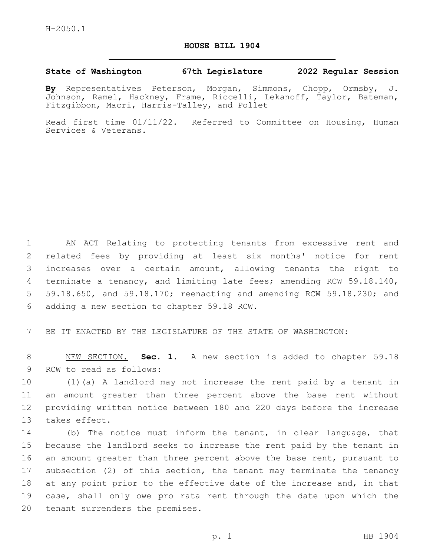## **HOUSE BILL 1904**

## **State of Washington 67th Legislature 2022 Regular Session**

**By** Representatives Peterson, Morgan, Simmons, Chopp, Ormsby, J. Johnson, Ramel, Hackney, Frame, Riccelli, Lekanoff, Taylor, Bateman, Fitzgibbon, Macri, Harris-Talley, and Pollet

Read first time 01/11/22. Referred to Committee on Housing, Human Services & Veterans.

 AN ACT Relating to protecting tenants from excessive rent and related fees by providing at least six months' notice for rent increases over a certain amount, allowing tenants the right to terminate a tenancy, and limiting late fees; amending RCW 59.18.140, 59.18.650, and 59.18.170; reenacting and amending RCW 59.18.230; and 6 adding a new section to chapter 59.18 RCW.

7 BE IT ENACTED BY THE LEGISLATURE OF THE STATE OF WASHINGTON:

8 NEW SECTION. **Sec. 1.** A new section is added to chapter 59.18 9 RCW to read as follows:

 (1)(a) A landlord may not increase the rent paid by a tenant in an amount greater than three percent above the base rent without providing written notice between 180 and 220 days before the increase 13 takes effect.

 (b) The notice must inform the tenant, in clear language, that because the landlord seeks to increase the rent paid by the tenant in an amount greater than three percent above the base rent, pursuant to subsection (2) of this section, the tenant may terminate the tenancy at any point prior to the effective date of the increase and, in that case, shall only owe pro rata rent through the date upon which the 20 tenant surrenders the premises.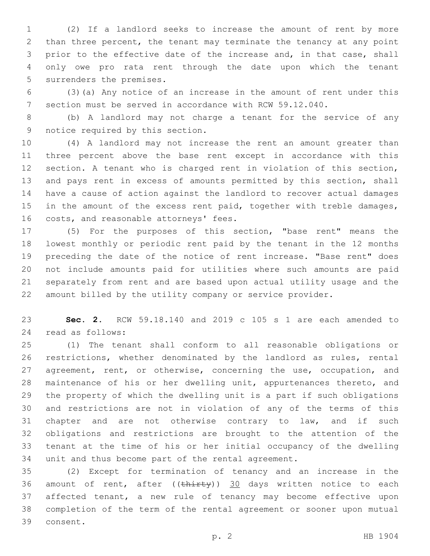(2) If a landlord seeks to increase the amount of rent by more than three percent, the tenant may terminate the tenancy at any point prior to the effective date of the increase and, in that case, shall only owe pro rata rent through the date upon which the tenant 5 surrenders the premises.

 (3)(a) Any notice of an increase in the amount of rent under this section must be served in accordance with RCW 59.12.040.

 (b) A landlord may not charge a tenant for the service of any 9 notice required by this section.

 (4) A landlord may not increase the rent an amount greater than three percent above the base rent except in accordance with this section. A tenant who is charged rent in violation of this section, 13 and pays rent in excess of amounts permitted by this section, shall have a cause of action against the landlord to recover actual damages 15 in the amount of the excess rent paid, together with treble damages, 16 costs, and reasonable attorneys' fees.

 (5) For the purposes of this section, "base rent" means the lowest monthly or periodic rent paid by the tenant in the 12 months preceding the date of the notice of rent increase. "Base rent" does not include amounts paid for utilities where such amounts are paid separately from rent and are based upon actual utility usage and the amount billed by the utility company or service provider.

 **Sec. 2.** RCW 59.18.140 and 2019 c 105 s 1 are each amended to read as follows:24

 (1) The tenant shall conform to all reasonable obligations or restrictions, whether denominated by the landlord as rules, rental 27 agreement, rent, or otherwise, concerning the use, occupation, and maintenance of his or her dwelling unit, appurtenances thereto, and the property of which the dwelling unit is a part if such obligations and restrictions are not in violation of any of the terms of this 31 chapter and are not otherwise contrary to law, and if such obligations and restrictions are brought to the attention of the tenant at the time of his or her initial occupancy of the dwelling unit and thus become part of the rental agreement.

 (2) Except for termination of tenancy and an increase in the 36 amount of rent, after  $((\text{thirty}))$  30 days written notice to each affected tenant, a new rule of tenancy may become effective upon completion of the term of the rental agreement or sooner upon mutual 39 consent.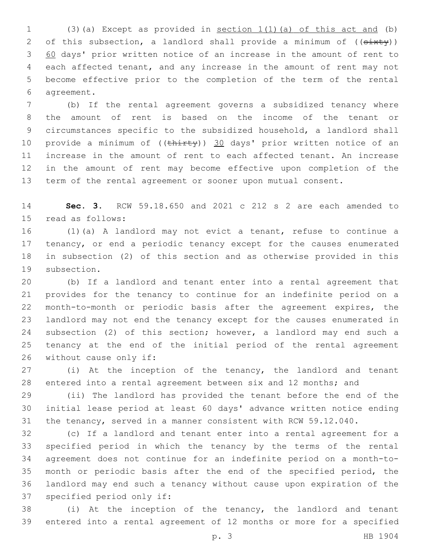(3)(a) Except as provided in section 1(1)(a) of this act and (b) 2 of this subsection, a landlord shall provide a minimum of  $((s+1)(y))$  60 days' prior written notice of an increase in the amount of rent to each affected tenant, and any increase in the amount of rent may not become effective prior to the completion of the term of the rental agreement.6

 (b) If the rental agreement governs a subsidized tenancy where the amount of rent is based on the income of the tenant or circumstances specific to the subsidized household, a landlord shall 10 provide a minimum of ((thirty)) 30 days' prior written notice of an increase in the amount of rent to each affected tenant. An increase in the amount of rent may become effective upon completion of the term of the rental agreement or sooner upon mutual consent.

 **Sec. 3.** RCW 59.18.650 and 2021 c 212 s 2 are each amended to 15 read as follows:

 (1)(a) A landlord may not evict a tenant, refuse to continue a 17 tenancy, or end a periodic tenancy except for the causes enumerated in subsection (2) of this section and as otherwise provided in this 19 subsection.

 (b) If a landlord and tenant enter into a rental agreement that provides for the tenancy to continue for an indefinite period on a month-to-month or periodic basis after the agreement expires, the landlord may not end the tenancy except for the causes enumerated in 24 subsection (2) of this section; however, a landlord may end such a tenancy at the end of the initial period of the rental agreement 26 without cause only if:

 (i) At the inception of the tenancy, the landlord and tenant entered into a rental agreement between six and 12 months; and

 (ii) The landlord has provided the tenant before the end of the initial lease period at least 60 days' advance written notice ending the tenancy, served in a manner consistent with RCW 59.12.040.

 (c) If a landlord and tenant enter into a rental agreement for a specified period in which the tenancy by the terms of the rental agreement does not continue for an indefinite period on a month-to- month or periodic basis after the end of the specified period, the landlord may end such a tenancy without cause upon expiration of the 37 specified period only if:

 (i) At the inception of the tenancy, the landlord and tenant entered into a rental agreement of 12 months or more for a specified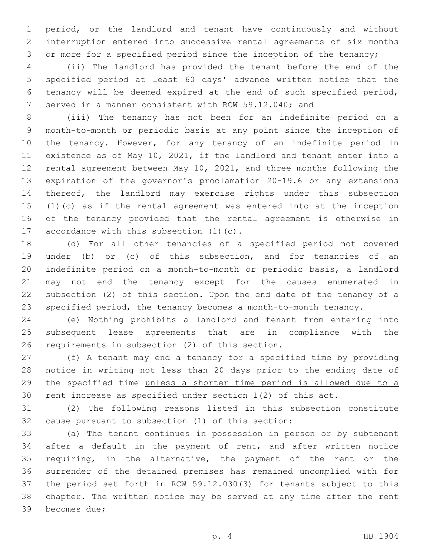period, or the landlord and tenant have continuously and without interruption entered into successive rental agreements of six months or more for a specified period since the inception of the tenancy;

 (ii) The landlord has provided the tenant before the end of the specified period at least 60 days' advance written notice that the tenancy will be deemed expired at the end of such specified period, served in a manner consistent with RCW 59.12.040; and

 (iii) The tenancy has not been for an indefinite period on a month-to-month or periodic basis at any point since the inception of the tenancy. However, for any tenancy of an indefinite period in existence as of May 10, 2021, if the landlord and tenant enter into a rental agreement between May 10, 2021, and three months following the expiration of the governor's proclamation 20-19.6 or any extensions thereof, the landlord may exercise rights under this subsection (1)(c) as if the rental agreement was entered into at the inception of the tenancy provided that the rental agreement is otherwise in 17 accordance with this subsection  $(1)(c)$ .

 (d) For all other tenancies of a specified period not covered under (b) or (c) of this subsection, and for tenancies of an indefinite period on a month-to-month or periodic basis, a landlord may not end the tenancy except for the causes enumerated in subsection (2) of this section. Upon the end date of the tenancy of a specified period, the tenancy becomes a month-to-month tenancy.

 (e) Nothing prohibits a landlord and tenant from entering into subsequent lease agreements that are in compliance with the 26 requirements in subsection (2) of this section.

 (f) A tenant may end a tenancy for a specified time by providing notice in writing not less than 20 days prior to the ending date of the specified time unless a shorter time period is allowed due to a 30 rent increase as specified under section 1(2) of this act.

 (2) The following reasons listed in this subsection constitute 32 cause pursuant to subsection (1) of this section:

 (a) The tenant continues in possession in person or by subtenant after a default in the payment of rent, and after written notice requiring, in the alternative, the payment of the rent or the surrender of the detained premises has remained uncomplied with for the period set forth in RCW 59.12.030(3) for tenants subject to this chapter. The written notice may be served at any time after the rent 39 becomes due;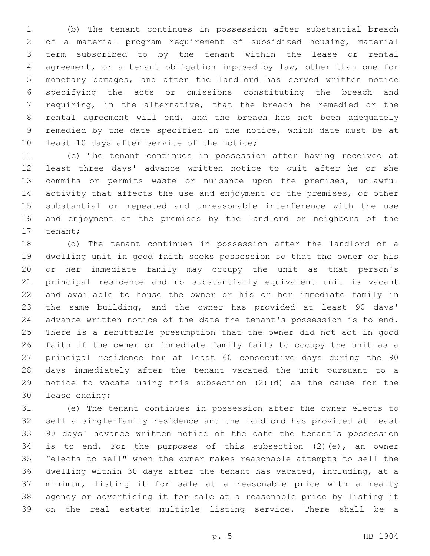(b) The tenant continues in possession after substantial breach of a material program requirement of subsidized housing, material term subscribed to by the tenant within the lease or rental agreement, or a tenant obligation imposed by law, other than one for monetary damages, and after the landlord has served written notice specifying the acts or omissions constituting the breach and requiring, in the alternative, that the breach be remedied or the rental agreement will end, and the breach has not been adequately remedied by the date specified in the notice, which date must be at 10 least 10 days after service of the notice;

 (c) The tenant continues in possession after having received at least three days' advance written notice to quit after he or she commits or permits waste or nuisance upon the premises, unlawful activity that affects the use and enjoyment of the premises, or other substantial or repeated and unreasonable interference with the use and enjoyment of the premises by the landlord or neighbors of the 17 tenant;

 (d) The tenant continues in possession after the landlord of a dwelling unit in good faith seeks possession so that the owner or his or her immediate family may occupy the unit as that person's principal residence and no substantially equivalent unit is vacant and available to house the owner or his or her immediate family in the same building, and the owner has provided at least 90 days' advance written notice of the date the tenant's possession is to end. There is a rebuttable presumption that the owner did not act in good faith if the owner or immediate family fails to occupy the unit as a principal residence for at least 60 consecutive days during the 90 days immediately after the tenant vacated the unit pursuant to a notice to vacate using this subsection (2)(d) as the cause for the 30 lease ending;

 (e) The tenant continues in possession after the owner elects to sell a single-family residence and the landlord has provided at least 90 days' advance written notice of the date the tenant's possession is to end. For the purposes of this subsection (2)(e), an owner "elects to sell" when the owner makes reasonable attempts to sell the dwelling within 30 days after the tenant has vacated, including, at a minimum, listing it for sale at a reasonable price with a realty agency or advertising it for sale at a reasonable price by listing it on the real estate multiple listing service. There shall be a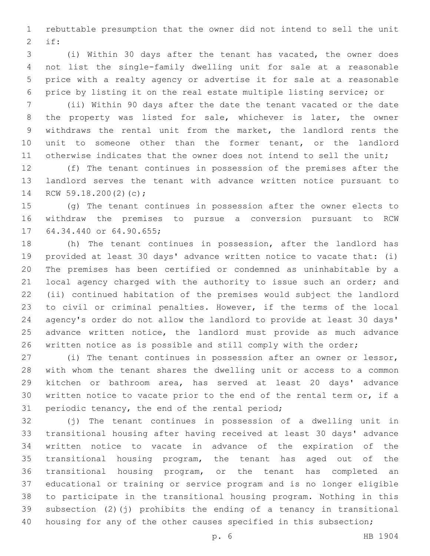rebuttable presumption that the owner did not intend to sell the unit if:2

 (i) Within 30 days after the tenant has vacated, the owner does not list the single-family dwelling unit for sale at a reasonable price with a realty agency or advertise it for sale at a reasonable price by listing it on the real estate multiple listing service; or

 (ii) Within 90 days after the date the tenant vacated or the date the property was listed for sale, whichever is later, the owner withdraws the rental unit from the market, the landlord rents the unit to someone other than the former tenant, or the landlord otherwise indicates that the owner does not intend to sell the unit;

 (f) The tenant continues in possession of the premises after the landlord serves the tenant with advance written notice pursuant to 14 RCW 59.18.200(2)(c);

 (g) The tenant continues in possession after the owner elects to withdraw the premises to pursue a conversion pursuant to RCW 17 64.34.440 or 64.90.655;

 (h) The tenant continues in possession, after the landlord has provided at least 30 days' advance written notice to vacate that: (i) The premises has been certified or condemned as uninhabitable by a 21 local agency charged with the authority to issue such an order; and (ii) continued habitation of the premises would subject the landlord to civil or criminal penalties. However, if the terms of the local agency's order do not allow the landlord to provide at least 30 days' advance written notice, the landlord must provide as much advance written notice as is possible and still comply with the order;

 (i) The tenant continues in possession after an owner or lessor, with whom the tenant shares the dwelling unit or access to a common kitchen or bathroom area, has served at least 20 days' advance written notice to vacate prior to the end of the rental term or, if a 31 periodic tenancy, the end of the rental period;

 (j) The tenant continues in possession of a dwelling unit in transitional housing after having received at least 30 days' advance written notice to vacate in advance of the expiration of the transitional housing program, the tenant has aged out of the transitional housing program, or the tenant has completed an educational or training or service program and is no longer eligible to participate in the transitional housing program. Nothing in this subsection (2)(j) prohibits the ending of a tenancy in transitional 40 housing for any of the other causes specified in this subsection;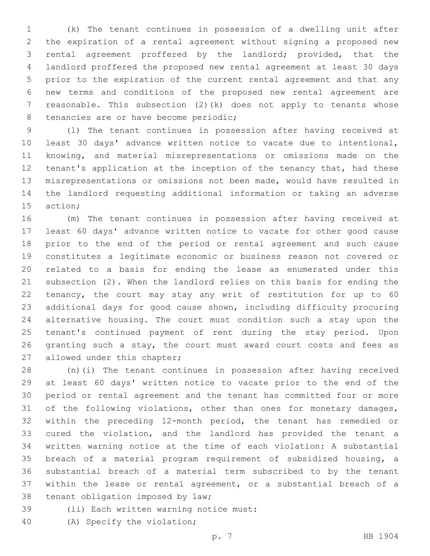(k) The tenant continues in possession of a dwelling unit after the expiration of a rental agreement without signing a proposed new rental agreement proffered by the landlord; provided, that the landlord proffered the proposed new rental agreement at least 30 days prior to the expiration of the current rental agreement and that any new terms and conditions of the proposed new rental agreement are reasonable. This subsection (2)(k) does not apply to tenants whose 8 tenancies are or have become periodic;

 (l) The tenant continues in possession after having received at least 30 days' advance written notice to vacate due to intentional, knowing, and material misrepresentations or omissions made on the tenant's application at the inception of the tenancy that, had these misrepresentations or omissions not been made, would have resulted in the landlord requesting additional information or taking an adverse 15 action:

 (m) The tenant continues in possession after having received at least 60 days' advance written notice to vacate for other good cause prior to the end of the period or rental agreement and such cause constitutes a legitimate economic or business reason not covered or related to a basis for ending the lease as enumerated under this subsection (2). When the landlord relies on this basis for ending the tenancy, the court may stay any writ of restitution for up to 60 additional days for good cause shown, including difficulty procuring alternative housing. The court must condition such a stay upon the tenant's continued payment of rent during the stay period. Upon granting such a stay, the court must award court costs and fees as 27 allowed under this chapter;

 (n)(i) The tenant continues in possession after having received at least 60 days' written notice to vacate prior to the end of the period or rental agreement and the tenant has committed four or more 31 of the following violations, other than ones for monetary damages, within the preceding 12-month period, the tenant has remedied or cured the violation, and the landlord has provided the tenant a written warning notice at the time of each violation: A substantial breach of a material program requirement of subsidized housing, a substantial breach of a material term subscribed to by the tenant within the lease or rental agreement, or a substantial breach of a 38 tenant obligation imposed by law;

- 39 (ii) Each written warning notice must:
- 40 (A) Specify the violation;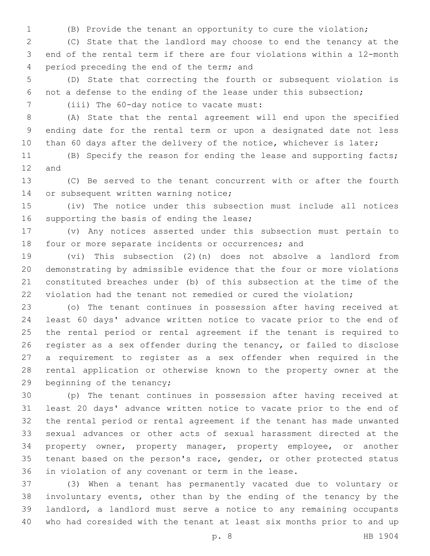(B) Provide the tenant an opportunity to cure the violation;

 (C) State that the landlord may choose to end the tenancy at the end of the rental term if there are four violations within a 12-month 4 period preceding the end of the term; and

 (D) State that correcting the fourth or subsequent violation is not a defense to the ending of the lease under this subsection;

7 (iii) The 60-day notice to vacate must:

 (A) State that the rental agreement will end upon the specified ending date for the rental term or upon a designated date not less 10 than 60 days after the delivery of the notice, whichever is later;

 (B) Specify the reason for ending the lease and supporting facts; 12 and

 (C) Be served to the tenant concurrent with or after the fourth 14 or subsequent written warning notice;

 (iv) The notice under this subsection must include all notices 16 supporting the basis of ending the lease;

 (v) Any notices asserted under this subsection must pertain to four or more separate incidents or occurrences; and

 (vi) This subsection (2)(n) does not absolve a landlord from demonstrating by admissible evidence that the four or more violations constituted breaches under (b) of this subsection at the time of the violation had the tenant not remedied or cured the violation;

 (o) The tenant continues in possession after having received at least 60 days' advance written notice to vacate prior to the end of the rental period or rental agreement if the tenant is required to register as a sex offender during the tenancy, or failed to disclose a requirement to register as a sex offender when required in the rental application or otherwise known to the property owner at the 29 beginning of the tenancy;

 (p) The tenant continues in possession after having received at least 20 days' advance written notice to vacate prior to the end of the rental period or rental agreement if the tenant has made unwanted sexual advances or other acts of sexual harassment directed at the property owner, property manager, property employee, or another tenant based on the person's race, gender, or other protected status in violation of any covenant or term in the lease.

 (3) When a tenant has permanently vacated due to voluntary or involuntary events, other than by the ending of the tenancy by the landlord, a landlord must serve a notice to any remaining occupants who had coresided with the tenant at least six months prior to and up

p. 8 HB 1904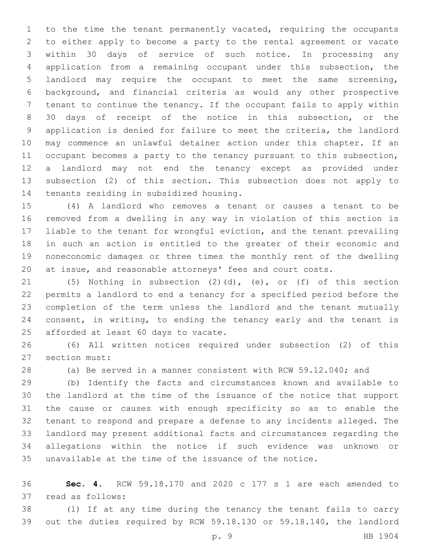to the time the tenant permanently vacated, requiring the occupants to either apply to become a party to the rental agreement or vacate within 30 days of service of such notice. In processing any application from a remaining occupant under this subsection, the landlord may require the occupant to meet the same screening, background, and financial criteria as would any other prospective tenant to continue the tenancy. If the occupant fails to apply within 30 days of receipt of the notice in this subsection, or the application is denied for failure to meet the criteria, the landlord may commence an unlawful detainer action under this chapter. If an occupant becomes a party to the tenancy pursuant to this subsection, a landlord may not end the tenancy except as provided under subsection (2) of this section. This subsection does not apply to 14 tenants residing in subsidized housing.

 (4) A landlord who removes a tenant or causes a tenant to be removed from a dwelling in any way in violation of this section is liable to the tenant for wrongful eviction, and the tenant prevailing in such an action is entitled to the greater of their economic and noneconomic damages or three times the monthly rent of the dwelling at issue, and reasonable attorneys' fees and court costs.

 (5) Nothing in subsection (2)(d), (e), or (f) of this section permits a landlord to end a tenancy for a specified period before the completion of the term unless the landlord and the tenant mutually consent, in writing, to ending the tenancy early and the tenant is 25 afforded at least 60 days to vacate.

 (6) All written notices required under subsection (2) of this 27 section must:

(a) Be served in a manner consistent with RCW 59.12.040; and

 (b) Identify the facts and circumstances known and available to the landlord at the time of the issuance of the notice that support the cause or causes with enough specificity so as to enable the tenant to respond and prepare a defense to any incidents alleged. The landlord may present additional facts and circumstances regarding the allegations within the notice if such evidence was unknown or unavailable at the time of the issuance of the notice.

 **Sec. 4.** RCW 59.18.170 and 2020 c 177 s 1 are each amended to 37 read as follows:

 (1) If at any time during the tenancy the tenant fails to carry out the duties required by RCW 59.18.130 or 59.18.140, the landlord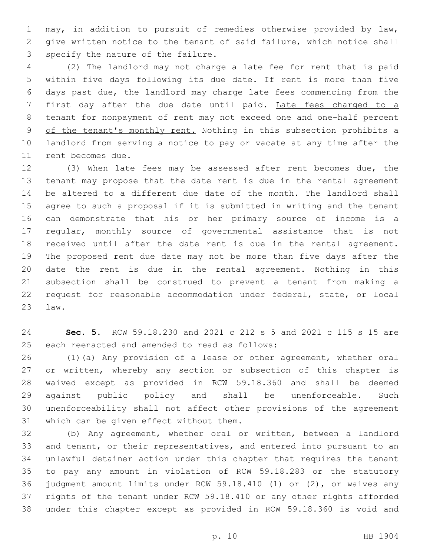may, in addition to pursuit of remedies otherwise provided by law, give written notice to the tenant of said failure, which notice shall 3 specify the nature of the failure.

 (2) The landlord may not charge a late fee for rent that is paid within five days following its due date. If rent is more than five days past due, the landlord may charge late fees commencing from the first day after the due date until paid. Late fees charged to a tenant for nonpayment of rent may not exceed one and one-half percent 9 of the tenant's monthly rent. Nothing in this subsection prohibits a landlord from serving a notice to pay or vacate at any time after the 11 rent becomes due.

 (3) When late fees may be assessed after rent becomes due, the tenant may propose that the date rent is due in the rental agreement be altered to a different due date of the month. The landlord shall agree to such a proposal if it is submitted in writing and the tenant can demonstrate that his or her primary source of income is a regular, monthly source of governmental assistance that is not received until after the date rent is due in the rental agreement. The proposed rent due date may not be more than five days after the date the rent is due in the rental agreement. Nothing in this subsection shall be construed to prevent a tenant from making a request for reasonable accommodation under federal, state, or local law.23

 **Sec. 5.** RCW 59.18.230 and 2021 c 212 s 5 and 2021 c 115 s 15 are 25 each reenacted and amended to read as follows:

 (1)(a) Any provision of a lease or other agreement, whether oral or written, whereby any section or subsection of this chapter is waived except as provided in RCW 59.18.360 and shall be deemed against public policy and shall be unenforceable. Such unenforceability shall not affect other provisions of the agreement 31 which can be given effect without them.

 (b) Any agreement, whether oral or written, between a landlord and tenant, or their representatives, and entered into pursuant to an unlawful detainer action under this chapter that requires the tenant to pay any amount in violation of RCW 59.18.283 or the statutory judgment amount limits under RCW 59.18.410 (1) or (2), or waives any rights of the tenant under RCW 59.18.410 or any other rights afforded under this chapter except as provided in RCW 59.18.360 is void and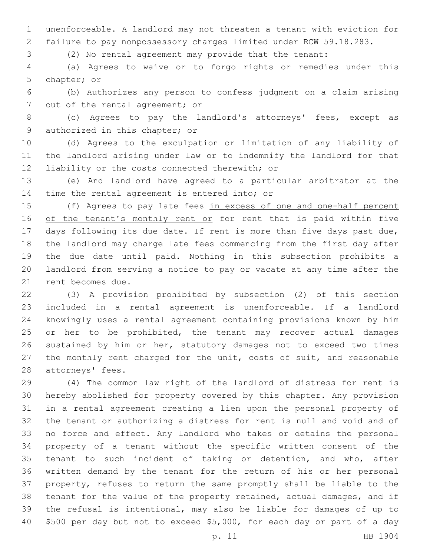unenforceable. A landlord may not threaten a tenant with eviction for failure to pay nonpossessory charges limited under RCW 59.18.283.

(2) No rental agreement may provide that the tenant:

 (a) Agrees to waive or to forgo rights or remedies under this 5 chapter; or

 (b) Authorizes any person to confess judgment on a claim arising 7 out of the rental agreement; or

 (c) Agrees to pay the landlord's attorneys' fees, except as 9 authorized in this chapter; or

 (d) Agrees to the exculpation or limitation of any liability of the landlord arising under law or to indemnify the landlord for that 12 liability or the costs connected therewith; or

 (e) And landlord have agreed to a particular arbitrator at the 14 time the rental agreement is entered into; or

 (f) Agrees to pay late fees in excess of one and one-half percent 16 of the tenant's monthly rent or for rent that is paid within five days following its due date. If rent is more than five days past due, the landlord may charge late fees commencing from the first day after the due date until paid. Nothing in this subsection prohibits a landlord from serving a notice to pay or vacate at any time after the 21 rent becomes due.

 (3) A provision prohibited by subsection (2) of this section included in a rental agreement is unenforceable. If a landlord knowingly uses a rental agreement containing provisions known by him or her to be prohibited, the tenant may recover actual damages sustained by him or her, statutory damages not to exceed two times 27 the monthly rent charged for the unit, costs of suit, and reasonable 28 attorneys' fees.

 (4) The common law right of the landlord of distress for rent is hereby abolished for property covered by this chapter. Any provision in a rental agreement creating a lien upon the personal property of the tenant or authorizing a distress for rent is null and void and of no force and effect. Any landlord who takes or detains the personal property of a tenant without the specific written consent of the tenant to such incident of taking or detention, and who, after written demand by the tenant for the return of his or her personal property, refuses to return the same promptly shall be liable to the tenant for the value of the property retained, actual damages, and if the refusal is intentional, may also be liable for damages of up to \$500 per day but not to exceed \$5,000, for each day or part of a day

p. 11 HB 1904